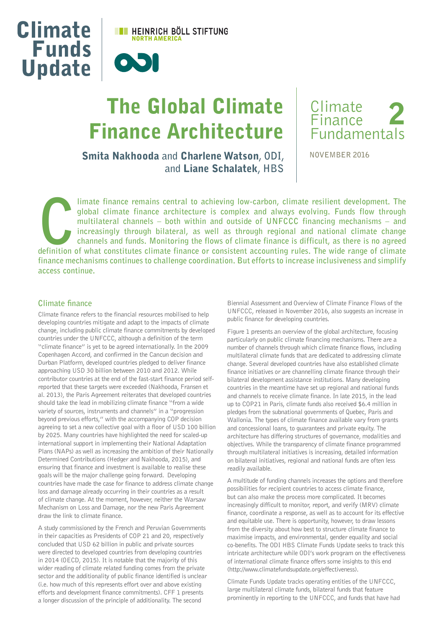

# The Global Climate Finance Architecture



Smita Nakhooda **and** Charlene Watson**, ODI, and** Liane Schalatek**, HBS** **NOVEMBER 2016**

Iimate finance remains central to achieving low-carbon, climate resilient development. The global climate finance architecture is complex and always evolving. Funds flow through multilateral channels – both within and outs **global climate finance architecture is complex and always evolving. Funds flow through multilateral channels – both within and outside of UNFCCC financing mechanisms – and increasingly through bilateral, as well as through regional and national climate change channels and funds. Monitoring the flows of climate finance is difficult, as there is no agreed definition of what constitutes climate finance or consistent accounting rules. The wide range of climate finance mechanisms continues to challenge coordination. But efforts to increase inclusiveness and simplify access continue.**

## **Climate finance**

Climate finance refers to the financial resources mobilised to help developing countries mitigate and adapt to the impacts of climate change, including public climate finance commitments by developed countries under the UNFCCC, although a definition of the term "climate finance" is yet to be agreed internationally. In the 2009 Copenhagen Accord, and confirmed in the Cancun decision and Durban Platform, developed countries pledged to deliver finance approaching USD 30 billion between 2010 and 2012. While contributor countries at the end of the fast-start finance period selfreported that these targets were exceeded (Nakhooda, Fransen et al. 2013), the Paris Agreement reiterates that developed countries should take the lead in mobilizing climate finance "from a wide variety of sources, instruments and channels" in a "progression beyond previous efforts," with the accompanying COP decision agreeing to set a new collective goal with a floor of USD 100 billion by 2025. Many countries have highlighted the need for scaled-up international support in implementing their National Adaptation Plans (NAPs) as well as increasing the ambition of their Nationally Determined Contributions (Hedger and Nakhooda, 2015), and ensuring that finance and investment is available to realise these goals will be the major challenge going forward. Developing countries have made the case for finance to address climate change loss and damage already occurring in their countries as a result of climate change. At the moment, however, neither the Warsaw Mechanism on Loss and Damage, nor the new Paris Agreement draw the link to climate finance.

A study commissioned by the French and Peruvian Governments in their capacities as Presidents of COP 21 and 20, respectively concluded that USD 62 billion in public and private sources were directed to developed countries from developing countries in 2014 (OECD, 2015). It is notable that the majority of this wider reading of climate related funding comes from the private sector and the additionality of public finance identified is unclear (i.e. how much of this represents effort over and above existing efforts and development finance commitments). CFF 1 presents a longer discussion of the principle of additionality. The second

Biennial Assessment and Overview of Climate Finance Flows of the UNFCCC, released in November 2016, also suggests an increase in public finance for developing countries.

Figure 1 presents an overview of the global architecture, focusing particularly on public climate financing mechanisms. There are a number of channels through which climate finance flows, including multilateral climate funds that are dedicated to addressing climate change. Several developed countries have also established climate finance initiatives or are channelling climate finance through their bilateral development assistance institutions. Many developing countries in the meantime have set up regional and national funds and channels to receive climate finance. In late 2015, in the lead up to COP21 in Paris, climate funds also received \$6.4 million in pledges from the subnational governments of Quebec, Paris and Wallonia. The types of climate finance available vary from grants and concessional loans, to guarantees and private equity. The architecture has differing structures of governance, modalities and objectives. While the transparency of climate finance programmed through multilateral initiatives is increasing, detailed information on bilateral initiatives, regional and national funds are often less readily available.

A multitude of funding channels increases the options and therefore possibilities for recipient countries to access climate finance, but can also make the process more complicated. It becomes increasingly difficult to monitor, report, and verify (MRV) climate finance, coordinate a response, as well as to account for its effective and equitable use. There is opportunity, however, to draw lessons from the diversity about how best to structure climate finance to maximise impacts, and environmental, gender equality and social co-benefits. The ODI HBS Climate Funds Update seeks to track this intricate architecture while ODI's work program on the effectiveness of international climate finance offers some insights to this end (http://www.climatefundsupdate.org/effectiveness).

Climate Funds Update tracks operating entities of the UNFCCC, large multilateral climate funds, bilateral funds that feature prominently in reporting to the UNFCCC, and funds that have had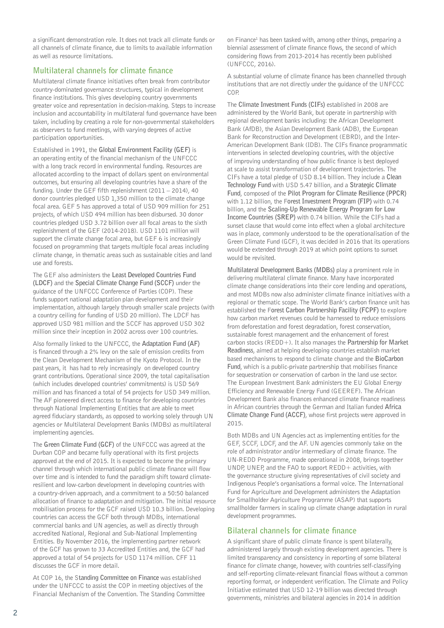a significant demonstration role. It does not track all climate funds or all channels of climate finance, due to limits to available information as well as resource limitations.

## **Multilateral channels for climate finance**

Multilateral climate finance initiatives often break from contributor country-dominated governance structures, typical in development finance institutions. This gives developing country governments greater voice and representation in decision-making. Steps to increase inclusion and accountability in multilateral fund governance have been taken, including by creating a role for non-governmental stakeholders as observers to fund meetings, with varying degrees of active participation opportunities.

Established in 1991, the **Global Environment Facility (GEF)** is an operating entity of the financial mechanism of the UNFCCC with a long track record in environmental funding. Resources are allocated according to the impact of dollars spent on environmental outcomes, but ensuring all developing countries have a share of the funding. Under the GEF fifth replenishment (2011 – 2014), 40 donor countries pledged USD 1,350 million to the climate change focal area. GEF 5 has approved a total of USD 909 million for 251 projects, of which USD 494 million has been disbursed. 30 donor countries pledged USD 3.72 billion over all focal areas to the sixth replenishment of the GEF (2014-2018). USD 1101 million will support the climate change focal area, but GEF 6 is increasingly focused on programming that targets multiple focal areas including climate change, in thematic areas such as sustainable cities and land use and forests.

The GEF also administers the **Least Developed Countries Fund (LDCF)** and the **Special Climate Change Fund (SCCF)** under the guidance of the UNFCCC Conference of Parties (COP). These funds support national adaptation plan development and their implementation, although largely through smaller scale projects (with a country ceiling for funding of USD 20 million). The LDCF has approved USD 981 million and the SCCF has approved USD 302 million since their inception in 2002 across over 100 countries.

Also formally linked to the UNFCCC, the **Adaptation Fund (AF)** is financed through a 2% levy on the sale of emission credits from the Clean Development Mechanism of the Kyoto Protocol. In the past years, it has had to rely increasingly on developed country grant contributions. Operational since 2009, the total capitalisation (which includes developed countries' commitments) is USD 569 million and has financed a total of 54 projects for USD 349 million. The AF pioneered direct access to finance for developing countries through National Implementing Entities that are able to meet agreed fiduciary standards, as opposed to working solely through UN agencies or Multilateral Development Banks (MDBs) as multilateral implementing agencies.

The **Green Climate Fund (GCF)** of the UNFCCC was agreed at the Durban COP and became fully operational with its first projects approved at the end of 2015. It is expected to become the primary channel through which international public climate finance will flow over time and is intended to fund the paradigm shift toward climateresilient and low-carbon development in developing countries with a country-driven approach, and a commitment to a 50:50 balanced allocation of finance to adaptation and mitigation. The initial resource mobilisation process for the GCF raised USD 10.3 billion. Developing countries can access the GCF both through MDBs, international commercial banks and UN agencies, as well as directly through accredited National, Regional and Sub-National Implementing Entities. By November 2016, the implementing partner network of the GCF has grown to 33 Accredited Entities and, the GCF had approved a total of 54 projects for USD 1174 million. CFF 11 discusses the GCF in more detail.

At COP 16, the S**tanding Committee on Finance** was established under the UNFCCC to assist the COP in meeting objectives of the Financial Mechanism of the Convention. The Standing Committee

on Finance<sup>1</sup> has been tasked with, among other things, preparing a biennial assessment of climate finance flows, the second of which considering flows from 2013-2014 has recently been published (UNFCCC, 2016).

A substantial volume of climate finance has been channelled through institutions that are not directly under the guidance of the UNFCCC COP

The **Climate Investment Funds (CIFs)** established in 2008 are administered by the World Bank, but operate in partnership with regional development banks including: the African Development Bank (AfDB), the Asian Development Bank (ADB), the European Bank for Reconstruction and Development (EBRD), and the Inter-American Development Bank (IDB). The CIFs finance programmatic interventions in selected developing countries, with the objective of improving understanding of how public finance is best deployed at scale to assist transformation of development trajectories. The CIFs have a total pledge of USD 8.14 billion. They include a **Clean Technology Fund** with USD 5.47 billion, and a **Strategic Climate Fund**, composed of the **Pilot Program for Climate Resilience (PPCR)**  with 1.12 billion, the F**orest Investment Program (FIP)** with 0.74 billion, and the **Scaling-Up Renewable Energy Program for Low Income Countries (SREP)** with 0.74 billion. While the CIFs had a sunset clause that would come into effect when a global architecture was in place, commonly understood to be the operationalisation of the Green Climate Fund (GCF), it was decided in 2016 that its operations would be extended through 2019 at which point options to sunset would be revisited.

**Multilateral Development Banks (MDBs)** play a prominent role in delivering multilateral climate finance. Many have incorporated climate change considerations into their core lending and operations, and most MDBs now also administer climate finance initiatives with a regional or thematic scope. The World Bank's carbon finance unit has established the F**orest Carbon Partnership Facility (FCPF)** to explore how carbon market revenues could be harnessed to reduce emissions from deforestation and forest degradation, forest conservation, sustainable forest management and the enhancement of forest carbon stocks (REDD+). It also manages the **Partnership for Market Readiness**, aimed at helping developing countries establish market based mechanisms to respond to climate change and the **BioCarbon Fund**, which is a public-private partnership that mobilises finance for sequestration or conservation of carbon in the land use sector. The European Investment Bank administers the EU Global Energy Efficiency and Renewable Energy Fund (GEEREF). The African Development Bank also finances enhanced climate finance readiness in African countries through the German and Italian funded **Africa Climate Change Fund (ACCF)**, whose first projects were approved in 2015.

Both MDBs and UN Agencies act as implementing entities for the GEF, SCCF, LDCF, and the AF. UN agencies commonly take on the role of administrator and/or intermediary of climate finance. The UN-REDD Programme, made operational in 2008, brings together UNDP, UNEP, and the FAO to support REDD+ activities, with the governance structure giving representatives of civil society and Indigenous People's organisations a formal voice. The International Fund for Agriculture and Development administers the Adaptation for Smallholder Agriculture Programme (ASAP) that supports smallholder farmers in scaling up climate change adaptation in rural development programmes.

# **Bilateral channels for climate finance**

A significant share of public climate finance is spent bilaterally, administered largely through existing development agencies. There is limited transparency and consistency in reporting of some bilateral finance for climate change, however, with countries self-classifying and self-reporting climate-relevant financial flows without a common reporting format, or independent verification. The Climate and Policy Initiative estimated that USD 12-19 billion was directed through governments, ministries and bilateral agencies in 2014 in addition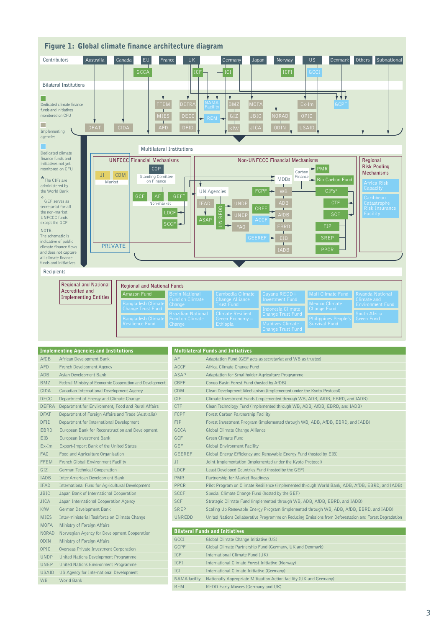

| <b>Implementing Agencies and Institutions</b> |                                                          | <b>Multilateral Funds and Initiatives</b> |                                                                                                        |
|-----------------------------------------------|----------------------------------------------------------|-------------------------------------------|--------------------------------------------------------------------------------------------------------|
| AfDB                                          | African Development Bank                                 | AF                                        | Adaptation Fund (GEF acts as secretariat and WB as trustee)                                            |
| <b>AFD</b>                                    | French Development Agency                                | <b>ACCF</b>                               | Africa Climate Change Fund                                                                             |
| ADB                                           | Asian Development Bank                                   | <b>ASAP</b>                               | Adaptation for Smallholder Agriculture Programme                                                       |
| <b>BMZ</b>                                    | Federal Ministry of Economic Cooperation and Development | <b>CBFF</b>                               | Congo Basin Forest Fund (hosted by AfDB)                                                               |
| <b>CIDA</b>                                   | Canadian International Development Agency                | <b>CDM</b>                                | Clean Development Mechanism (implemented under the Kyoto Protocol)                                     |
| <b>DECC</b>                                   | Department of Energy and Climate Change                  | CIF                                       | Climate Investment Funds (implemented through WB, ADB, AfDB, EBRD, and IADB)                           |
| <b>DEFRA</b>                                  | Department for Environment, Food and Rural Affairs       | <b>CTF</b>                                | Clean Technology Fund (implemented through WB, ADB, AfDB, EBRD, and IADB)                              |
| <b>DFAT</b>                                   | Department of Foreign Affairs and Trade (Australia)      | <b>FCPF</b>                               | Forest Carbon Partnership Facility                                                                     |
| <b>DFID</b>                                   | Department for International Development                 | <b>FIP</b>                                | Forest Investment Program (implemented through WB, ADB, AfDB, EBRD, and IADB)                          |
| <b>EBRD</b>                                   | European Bank for Reconstruction and Development         | <b>GCCA</b>                               | Global Climate Change Alliance                                                                         |
| <b>EIB</b>                                    | European Investment Bank                                 | GCF                                       | Green Climate Fund                                                                                     |
| $Ex-Im$                                       | Export-Import Bank of the United States                  | <b>GEF</b>                                | <b>Global Environment Facility</b>                                                                     |
| FA0                                           | Food and Agriculture Organisation                        | <b>GEEREF</b>                             | Global Energy Efficiency and Renewable Energy Fund (hosted by EIB)                                     |
| FFEM                                          | French Global Environment Facility                       | JI                                        | Joint Implementation (implemented under the Kyoto Protocol)                                            |
| GIZ                                           | German Technical Cooperation                             | LDCF                                      | Least Developed Countries Fund (hosted by the GEF)                                                     |
| <b>IADB</b>                                   | Inter American Development Bank                          | <b>PMR</b>                                | Partnership for Market Readiness                                                                       |
| <b>IFAD</b>                                   | International Fund for Agricultural Development          | PPCR                                      | Pilot Program on Climate Resilience (implemented through World Bank, ADB, AfDB, EBRD, and IADB)        |
| <b>JBIC</b>                                   | Japan Bank of International Cooperation                  | <b>SCCF</b>                               | Special Climate Change Fund (hosted by the GEF)                                                        |
| <b>JICA</b>                                   | Japan International Cooperation Agency                   | <b>SCF</b>                                | Strategic Climate Fund (implemented through WB, ADB, AfDB, EBRD, and IADB)                             |
| <b>KfW</b>                                    | German Development Bank                                  | SREP                                      | Scaling Up Renewable Energy Program (implemented through WB, ADB, AfDB, EBRD, and IADB)                |
| <b>MIES</b>                                   | Inter-ministerial Taskforce on Climate Change            | UNREDD                                    | United Nations Collaborative Programme on Reducing Emissions from Deforestation and Forest Degradation |
| <b>MOFA</b>                                   | Ministry of Foreign Affairs                              |                                           |                                                                                                        |
| <b>NORAD</b>                                  | Norwegian Agency for Development Cooperation             | <b>Bilateral Funds and Initiatives</b>    |                                                                                                        |
| <b>ODIN</b>                                   | Ministry of Foreign Affairs                              | GCCI                                      | Global Climate Change Initiative (US)                                                                  |
| OPIC                                          | Overseas Private Investment Corporation                  | <b>GCPF</b>                               | Global Climate Partnership Fund (Germany, UK and Denmark)                                              |
| <b>UNDP</b>                                   | United Nations Development Programme                     | <b>ICF</b>                                | International Climate Fund (UK)                                                                        |
| UNEP                                          | United Nations Environment Programme                     | <b>ICFI</b>                               | International Climate Forest Initiative (Norway)                                                       |
| <b>USAID</b>                                  | US Agency for International Development                  | ICI                                       | International Climate Initiative (Germany)                                                             |
| <b>WB</b>                                     | <b>World Bank</b>                                        | <b>NAMA</b> facility                      | Nationally Appropriate Mitigation Action facility (UK and Germany)                                     |
|                                               |                                                          | <b>REM</b>                                | REDD Early Movers (Germany and UK)                                                                     |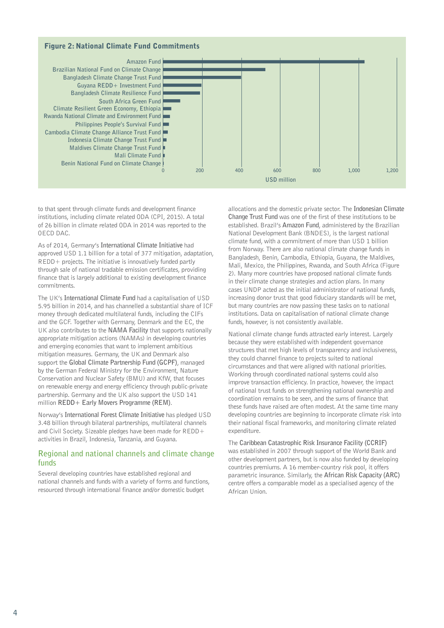### Figure 2: National Climate Fund Commitments



to that spent through climate funds and development finance institutions, including climate related ODA (CPI, 2015). A total of 26 billion in climate related ODA in 2014 was reported to the OECD DAC.

As of 2014, Germany's **International Climate Initiative** had approved USD 1.1 billion for a total of 377 mitigation, adaptation, REDD+ projects. The initiative is innovatively funded partly through sale of national tradable emission certificates, providing finance that is largely additional to existing development finance commitments.

The UK's **International Climate Fund** had a capitalisation of USD 5.95 billion in 2014, and has channelled a substantial share of ICF money through dedicated multilateral funds, including the CIFs and the GCF. Together with Germany, Denmark and the EC, the UK also contributes to the **NAMA Facility** that supports nationally appropriate mitigation actions (NAMAs) in developing countries and emerging economies that want to implement ambitious mitigation measures. Germany, the UK and Denmark also support the **Global Climate Partnership Fund (GCPF)**, managed by the German Federal Ministry for the Environment, Nature Conservation and Nuclear Safety (BMU) and KfW, that focuses on renewable energy and energy efficiency through public-private partnership. Germany and the UK also support the USD 141 million **REDD+ Early Movers Programme (REM)**.

Norway's **International Forest Climate Initiative** has pledged USD 3.48 billion through bilateral partnerships, multilateral channels and Civil Society. Sizeable pledges have been made for REDD+ activities in Brazil, Indonesia, Tanzania, and Guyana.

#### **Regional and national channels and climate change funds**

Several developing countries have established regional and national channels and funds with a variety of forms and functions, resourced through international finance and/or domestic budget

allocations and the domestic private sector. The **Indonesian Climate Change Trust Fund** was one of the first of these institutions to be established. Brazil's **Amazon Fund**, administered by the Brazilian National Development Bank (BNDES), is the largest national climate fund, with a commitment of more than USD 1 billion from Norway. There are also national climate change funds in Bangladesh, Benin, Cambodia, Ethiopia, Guyana, the Maldives, Mali, Mexico, the Philippines, Rwanda, and South Africa (Figure 2). Many more countries have proposed national climate funds in their climate change strategies and action plans. In many cases UNDP acted as the initial administrator of national funds, increasing donor trust that good fiduciary standards will be met, but many countries are now passing these tasks on to national institutions. Data on capitalisation of national climate change funds, however, is not consistently available.

National climate change funds attracted early interest. Largely because they were established with independent governance structures that met high levels of transparency and inclusiveness, they could channel finance to projects suited to national circumstances and that were aligned with national priorities. Working through coordinated national systems could also improve transaction efficiency. In practice, however, the impact of national trust funds on strengthening national ownership and coordination remains to be seen, and the sums of finance that these funds have raised are often modest. At the same time many developing countries are beginning to incorporate climate risk into their national fiscal frameworks, and monitoring climate related expenditure

The **Caribbean Catastrophic Risk Insurance Facility (CCRIF)** was established in 2007 through support of the World Bank and other development partners, but is now also funded by developing countries premiums. A 16 member-country risk pool, it offers parametric insurance. Similarly, the **African Risk Capacity (ARC)** centre offers a comparable model as a specialised agency of the African Union.